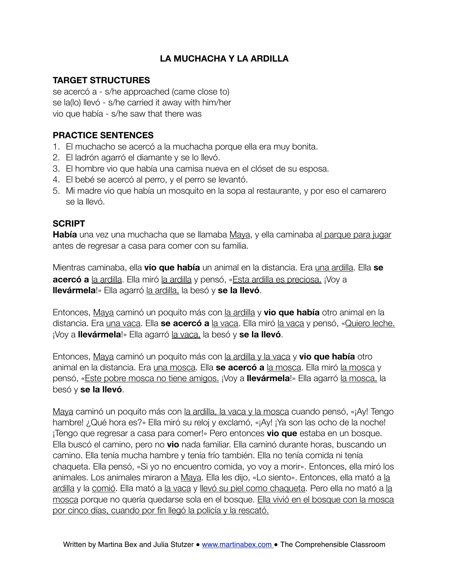# **LA MUCHACHA Y LA ARDILLA**

## **TARGET STRUCTURES**

se acercó a - s/he approached (came close to) se la(lo) llevó - s/he carried it away with him/her vio que había - s/he saw that there was

## **PRACTICE SENTENCES**

- 1. El muchacho se acercó a la muchacha porque ella era muy bonita.
- 2. El ladrón agarró el diamante y se lo llevó.
- 3. El hombre vio que había una camisa nueva en el clóset de su esposa.
- 4. El bebé se acercó al perro, y el perro se levantó.
- 5. Mi madre vio que había un mosquito en la sopa al restaurante, y por eso el camarero se la llevó.

#### **SCRIPT**

**Había** una vez una muchacha que se llamaba Maya, y ella caminaba al parque para jugar antes de regresar a casa para comer con su familia.

Mientras caminaba, ella **vio que había** un animal en la distancia. Era una ardilla. Ella **se acercó a** la ardilla. Ella miró la ardilla y pensó, «Esta ardilla es preciosa. ¡Voy a **llevármela**!» Ella agarró la ardilla, la besó y **se la llevó**.

Entonces, Maya caminó un poquito más con la ardilla y **vio que había** otro animal en la distancia. Era una vaca. Ella **se acercó a** la vaca. Ella miró la vaca y pensó, «Quiero leche. ¡Voy a **llevármela**!» Ella agarró la vaca, la besó y **se la llevó**.

Entonces, Maya caminó un poquito más con la ardilla y la vaca y **vio que había** otro animal en la distancia. Era una mosca. Ella **se acercó a** la mosca. Ella miró la mosca y pensó, «Este pobre mosca no tiene amigos. ¡Voy a **llevármela**!» Ella agarró la mosca, la besó y **se la llevó**.

Maya caminó un poquito más con la ardilla, la vaca y la mosca cuando pensó, «¡Ay! Tengo hambre! ¿Qué hora es?» Ella miró su reloj y exclamó, «¡Ay! ¡Ya son las ocho de la noche! ¡Tengo que regresar a casa para comer!» Pero entonces **vio que** estaba en un bosque. Ella buscó el camino, pero no **vio** nada familiar. Ella caminó durante horas, buscando un camino. Ella tenía mucha hambre y tenía frío también. Ella no tenía comida ni tenía chaqueta. Ella pensó, «Si yo no encuentro comida, yo voy a morir». Entonces, ella miró los animales. Los animales miraron a Maya. Ella les dijo, «Lo siento». Entonces, ella mató a la ardilla y la comió. Ella mató a la vaca y llevó su piel como chaqueta. Pero ella no mató a la mosca porque no quería quedarse sola en el bosque. Ella vivió en el bosque con la mosca por cinco días, cuando por fin llegó la policía y la rescató.